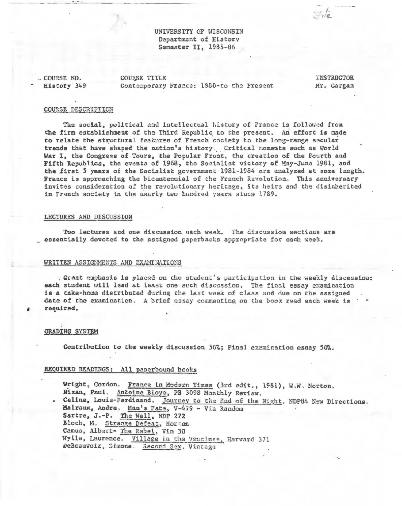UNIVERSITY OF WISCONSIN Department of History Semester II, 1985-86

. COURSE NO. History 349 COURSE TITLE Contemporary France: 1880-to the Present

**INSTRUCTOR** Mr. Gargan

 $H_{1}$ 

#### COURSE DESCRIPTION

The social, political and intellectual history of France is followed from the firm establishment of the Third Republic to the present. An effort is made to relate the structural features of French society to the long-range secular trends that have shaped the nation's history. Critical moments such as World War I, the Congress of Tours, the Popular Front, the creation of the Fourth and Fifth Republics, the events of 1968, the Socialist victory of May-June 1981, and the first 5 years of the Socialist government 1981-1984 are analyzed at some length. France is approaching the bicentennial of the French Revolution. This anniversary invites consideration of the revolutionary heritage, its heirs and the disinherited in Franch society in the nearly two hundred years since 1789.

#### LECTURES AND DISCUSSION

Two lectures and one discussion each week. The discussion sections are \_ essentially devoted to the assigned paperbacks appropriate for each week.

#### WRITTEN ASSIGNMENTS AND EXAMINATIONS

, Graat emphasis is placed on the student's participation in the weekly discussion: each student will lead at least one such discussion. The final essay examination is a take-home distributed during the last week of class and due on the assigned date of the examination, A brief essay commanting on the book read each week is required.

#### **GRADING SYSTEM**

Contribution to the weekly discussion 50%; Final examination essay 50%.

#### REQUIRED READINGS: All paperbound books

Wright, Gordon. France in Modern Times (3rd edit., 1981), W.W. Norton. Nizan, Paul. Antoine Bloye, PB 3098 Monthly Review. . Celine, Louis-Ferdinand. Journey to the End of the Night. NDP84 New Directions. Malraux, Andre, Man's Fate, V-479 - Vin Random Sartre, J.-P. The Wall, NDP 272 Bloch, M. Strange Defeat, Norton Camus, Albert- The Rebel, Vin 30 Wylle, Laurence. Village in the Vaucluse, Harvard 371 DeBeauvoir, Simone, Second Sex, Vintage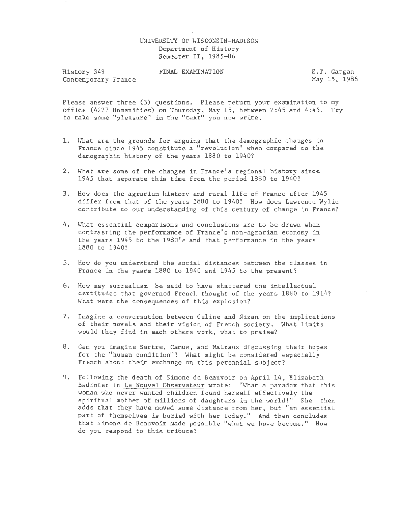#### UNIVERSITY OF WISCONSIN-MADISON Department of History Semester II, 1985-86

History 349 Contemporary France FINAL EXAMINATION E.T. Gargan

May 15, 1986

Please answer three (3) questions. Please return your examination to my office (4227 Humanities) on Thursday, May 15, between 2:45 and 4:45. Try to take some "pleasure" in the "text" you now write.

- 1. What are the grounds for arguing that the demographic changes in France since 1945 constitute a "revolution" when compared to the demographic history of the years 1880 to 1940?
- 2. What are some of the changes in France's regional history since 1945 that separate this time from the period 1880 to 1940?
- 3. How does the agrarian history and rural life of France after 1945 differ from that of the years 1880 to 1940? How does Lawrence Wylie contribute to our understanding of this century of change in France?
- 4. What essential comparisons and conclusions are to be drawn when contrasting the performance of France's non-agrarian economy in the years 1945 to the 1980's and that performance in the years 1880 to 1940?
- 5. How do you understand the social distances between the classes in France in the years 1880 to 1940 and 1945 to the present?
- 6. How may surrealism be said to have shattered the intellectual certitudes that governed French thought of the years 1880 to 1914? What were the consequences of this explosion?
- 7. Imagine a conversation between Celine and Nizan on the implications of their novels and their vision of French society. What limits would they find in each others work, what to praise?
- 8. Can you imagine Sartre, Camus, and Malraux discussing their hopes for the "human condition"? What might be considered especially French about their exchange on this perennial subject?
- 9. Following the death of Simone de Beauvoir on April 14, Elizabeth Badinter in Le Nouvel Observateur wrote: "What a paradox that this woman who never wanted children found herself effectively the spiritual mother of millions of daughters in the world!" She then adds that they have moved some distance from her, but "an essential part of themselves is buried with her today." And then concludes that Simone de Beauvoir made possible "what we have become." How do you respond to this tribute?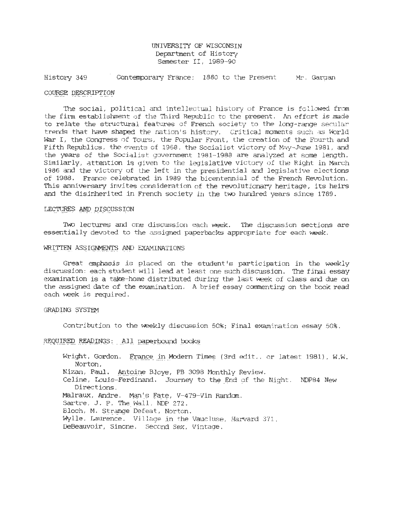UNIVERSITY OF WISCONSIN Department of History Semester II, 1989-90

History 349 Contemporary France: 1880 to the Present Mr. Gargan

#### COURSE DESCRIPTION

The *social, political* and intellectual history of France *is* fo l lowed from the finn establishment of the Third Republic to the present. An effort *is* made to relate the structural features of French society to the long-range secular trends that have shaped the nation's history. Critical moments such as World War I, the Congress of Tours, the Popular Front, the creation of the Fourth and Fifth Republics, the events of 1968, the Socialist victory of May-June 1981, and the years of the Socialist government 1981-1988 are analyzed at some length. Similarly, attention is 9iven to the legislative victory of the Right in March 1986 arxi the victory of the left in the presidential arxi legislative elections of 1988. France celebrated in 1989 the bicentennial of the French Revolution. This anniversary invites consideration of the revolutionary heritage, its *heirs*  and the disinherited in French society in the two hundred years since 1789.

#### LECTURES AND DISCUSSION

Two lectures and one discussion each week. The discussion sections are essentially devoted to the *assigned* paperbacks appropriate for each week.

#### WRITTEN ASSIGNMENTS AND EXAMINATIONS

Great emphasis is placed on the student's participation in the weekly discussion: each student will lead at least one such discussion. The final essay examination is a take-home distributed during the last week of class and due on the assigned date of the examination. A brief essay canmenting on the book read each week *is* required.

#### GRADING SYSTEM

Contribution to the weekly discussion 50%; Final examination essay 50%.

#### REQUIRED READINGS: All paperbound books

Wright, Gordon. France in Modern Times (3rd edit., or latest 1981), W.W. Norton. Nizan, Paul. Antoine Bloye, PB 3098 Monthly Review. Celine, Louis-Ferdinand. Journey to the End of the Night. NDP84 New Directions. Malraux, Andre. Man's Fate, V-479-Vin Random. Sartre, J. P. The wall, NDP 272. Bloch, M. Strange Defeat, Norton. Wylle, Laurence. Village in the Vaucluse, Harvard 371. DeBeauvoir, Simone. Second Sex, Vintage.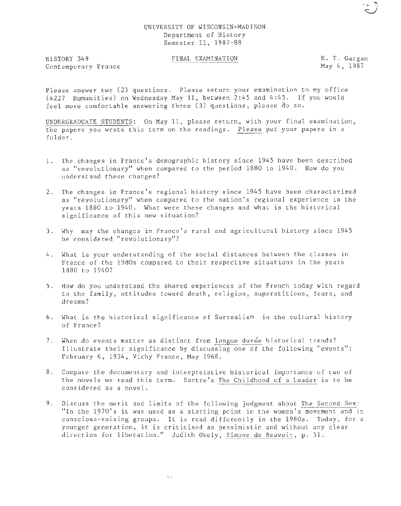#### UNIVERSITY OF WISCONSIN-MADISON Department of History Semester II, 1987-88

HISTORY 349 Contemporary France

## FINAL EXAMINATION E. T. Gargan

May 4, 1987

 $\ddot{\circ}$ 

Please answer two (2) questions. Please return your examination to my office (4227 Humanities) on Wednesday May 11, between 2:45 and 4:45. If you would feel more comfortable answering three (3) questions, please do so.

UNDERGRADUATE STUDENTS: On May 11, please return, with your final examination, the papers you wrote this term on the readings. Please put your papers in a folder.

- 1. The changes in France's demographic history since 1945 have been described as "revolutionary" when compared to the period 1880 to 1940. How do you understand these changes?
- 2. The changes in France's regional history since 1945 have been characterized as "revolutionary" when compared to the nation's regional experience in the years 1880 to 1940. What were these changes and what is the historical significance of this new situation?
- 3. Why may the changes in France's rural and agricultural history since 1945 be considered "revolutionary"?
- 4. What is your understanding of the social distances between the classes in France of the 1980s compared to their respective situations in the years 1880 to 1940?
- 5 . How do you understand the shared experiences of the French today with regard to the family, attitudes toward death, religion, superstitions, fears, and dreams?
- 6. What is the historical significance of Surrealism in the cultural history of France?
- 7. When do events matter as distinct from longue durée historical trends? Illustrate their significance by discussing one of the following "events": February 6, 1934, Vichy France, May 1968.
- 8. Compare the documentary and interpretative historical importance of two of the novels we read this term. Sartre's The Childhood of a Leader is to be considered as a novel.
- 9. Discuss the merit and limits of the following judgment about The Second Sex: "In the 1970's it was used as a starting point in the women's movement and in conscious-raising groups. It is read differently in the 1980s. Today, for a younger generation, it is criticised as pessimistic and without any clear direction for liberation." Judith Okely, Simone de Beavoir, p. 51.

·-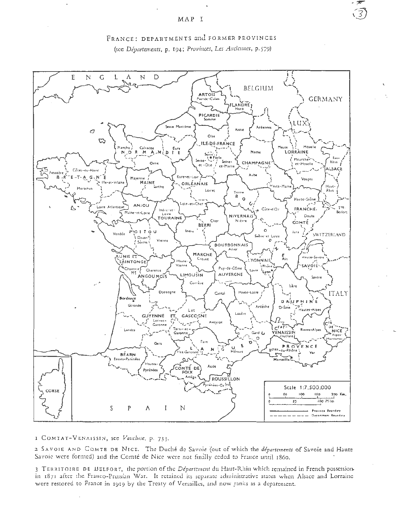$\binom{2}{3}$ 





I COMTAT-VENAISSIN, see Vaucluse, p. 733.

2 SAVOIE AND COMTE DE NICE. The Duché de Savoie (out of which the *départements* of Savoie and Haute Savoie were formed) and the Comté de Nice were not finally ceded to France until 1860.

3 TERRITOIRE DE BELFORT, the portion of the Département du Haut-Rhin which remained in French possessionin 1871 after the Franco-Prussian War. It retained its separate administrative status when Alsace and Lorraine were restored to France in 1919 by the Treaty of Versailles, and now ranks as a department.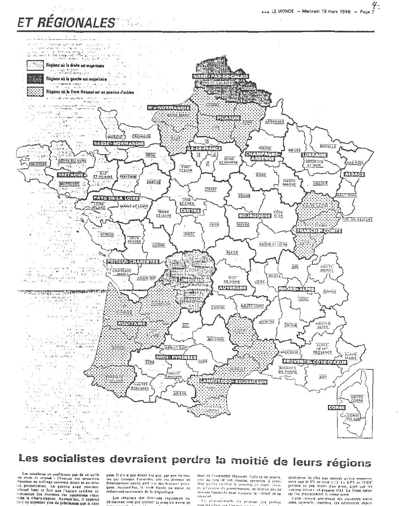# ET RÉGIONALES" NE LE



# Les socialistes devraient perdre la moitié de leurs régions

Les socialistes ne profiteront pas de ce qu'ils ten sousses ne protectes and the consent of the consent of the consent of the consent of the consent of the consent of the protectes at a series of an active of the state universal direct et au active reconnaux au soulizage universel airect et au source.<br>Comprimente la la gauche avait position de informé haut et fort que l'ancien système de<br>commando des membres des assemblées régionales.<br>Sales la dégarantique de la gauc ou il lui accordant plus de presidences que le libre

ques. Il n'via que douze ans que, par une loi vou-<br>lue par Georges Pommulou, elle est devenue on<br>établissement public géré par des hommes pultiques. Aujourd'hui, la voità élevée au statut de

Les résultats des élections régionales du 16 mars are vont pas facilité, la prise en tenire de dent de l'assemblée répionale. Celle-ci ne pourra. tion au ling de son mandal, tenverser le protis.<br>Rent qu'elle va élire le vendredi 24 inars : ceuret, à l'inverse du gouvernement, ne dispose pas de movens legislatifs pour s'assurer la lidélité de sa  $m$ nin era é

In propertionable o'a postrant cas preduit tous les effets aux l'ai

derni-point de plus aux séconds qu'aux premiers,<br>alors que le PS en perd 1,73. Le RPR et l'UDF<br>perdent en peu moins d'un point, alors que les  $\frac{1}{2}$  divers drove  $\frac{1}{2}$  on each and  $\frac{1}{2}$  and  $\frac{1}{2}$  and  $\frac{1}{2}$  and  $\frac{1}{2}$ nal fait pratiquement le même score

cette relieve uniformaté des movemnes natio-<br>nales campurle, toutefois, des différences impor-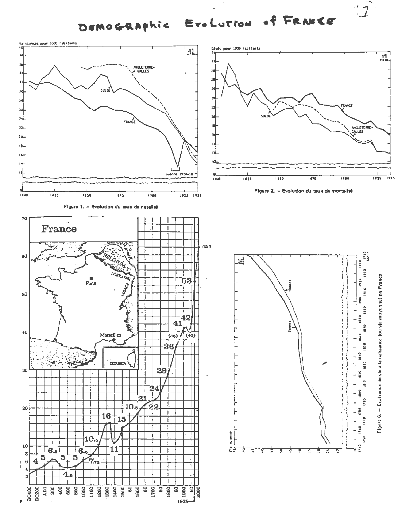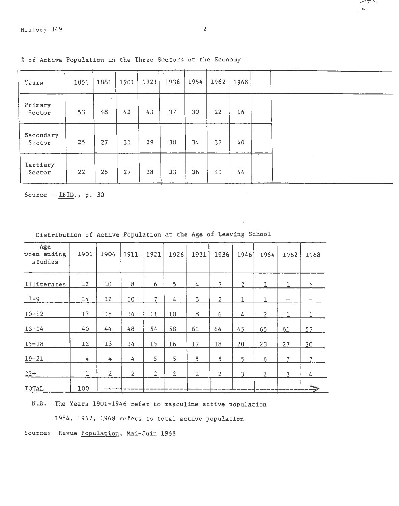Tertiary

| Years               | 1851 | 1881 | 1901 | 1921 | 1936 | 1954 | 1962 | 1968 |        |
|---------------------|------|------|------|------|------|------|------|------|--------|
|                     |      |      |      |      |      |      |      |      |        |
| Primary<br>Sector   | 53   | 48   | 42   | 43   | 37   | 30   | 22   | 16   |        |
| Secondary<br>Sector | 25   | 27   | 31   | 29   | 30   | 34   | 37   | 40   |        |
|                     |      |      |      |      |      |      |      |      | $\sim$ |

% of Active Population in the Three Sectors of the Economy

Sector | 22 | 25 | 27 | 28 | 33 | 36 | 41 | 44

Source -  $IBID.$ , p. 30

| Age<br>when ending<br>studies | 1901 | 1906           | 1911           | 1921           | 1926         | 1931           | 1936           | 1946           | 1954            | 1962 | 1968           |
|-------------------------------|------|----------------|----------------|----------------|--------------|----------------|----------------|----------------|-----------------|------|----------------|
| <i>Illiterates</i>            | 12   | 10             | 8              | 6              | 5            | 4              | $\overline{3}$ | $\overline{2}$ | I               | 1    |                |
| $7 - 9$                       | 14   | 12             | 10             | $\overline{7}$ | 4            | 3              | $\overline{2}$ | 1              | 1               |      |                |
| $10 - 12$                     | 17   | 15             | 14             | 11             | 10           | 8              | 6              | 4              | $\overline{2}$  | I.   |                |
| $13 - 14$                     | 40   | 44             | 48             | 54             | 58           | 61             | 64             | 65             | 65              | 61   | 57             |
| $15 - 18$                     | 12   | 13             | 14             | 15             | 16           | 17             | 18             | 20             | 23              | 27   | 30             |
| $19 - 21$                     | 4    | 4              | 4              | 5              | 5            | 5              | 5              | 5              | $6\phantom{.}6$ | 7    | $\overline{7}$ |
| $22+$                         | 1    | $\overline{2}$ | $\overline{2}$ | $\overline{2}$ | $\mathbf{2}$ | $\overline{2}$ | $\overline{2}$ | 3              | $\overline{2}$  | 3    | 4              |
| TOTAL                         | 100  |                |                |                |              |                |                |                |                 |      |                |

Distribution of Active Population at the Age of Leaving School

N.B. The Years 1901-1946 refer to masculine active population

1954, 1962, 1968 refers to total active population

Source: Revue Population, Mai-Juin 1968

سيديد  $\mathbf{K}_\mathrm{c}$